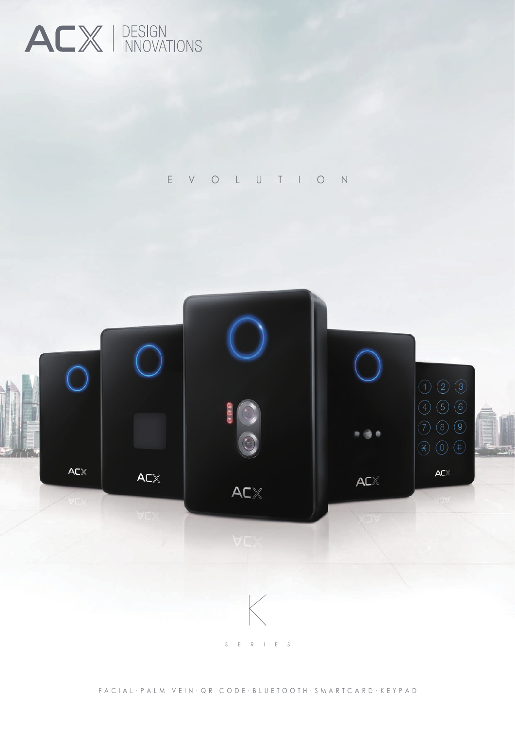

E V O L U T I O N

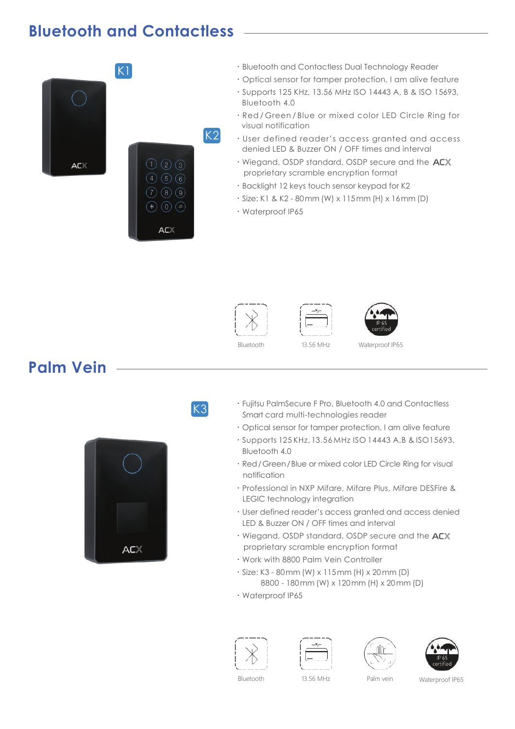## **Bluetooth and Contactless**



- ‧Bluetooth and Contactless Dual Technology Reader
- ‧Optical sensor for tamper protection, I am alive feature
- ‧Supports 125 KHz, 13.56 MHz ISO 14443 A, B & ISO 15693, Bluetooth 4.0
- ‧Red / Green / Blue or mixed color LED Circle Ring for visual notification
- ‧User defined reader's access granted and access denied LED & Buzzer ON / OFF times and interval
- Wiegand, OSDP standard, OSDP secure and the ACX proprietary scramble encryption format
- ‧Backlight 12 keys touch sensor keypad for K2
- ‧Size: K1 & K2 80mm (W) x 115mm (H) x 16mm (D)
- ‧Waterproof IP65



K3





## **Palm Vein**



‧Fujitsu PalmSecure F Pro, Bluetooth 4.0 and Contactless Smart card multi-technologies reader

- ‧Optical sensor for tamper protection, I am alive feature
- ‧Supports 125 KHz, 13.56 MHz ISO 14443 A,B & ISO15693, Bluetooth 4.0
- ‧Red/Green/Blue or mixed color LED Circle Ring for visual notification
- ‧Professional in NXP Mifare, Mifare Plus, Mifare DESFire & LEGIC technology integration
- ‧User defined reader's access granted and access denied LED & Buzzer ON / OFF times and interval
- Wiegand, OSDP standard, OSDP secure and the ACX proprietary scramble encryption format
- ‧Work with 8800 Palm Vein Controller
- ‧Size: K3 80mm (W) x 115mm (H) x 20mm (D) 8800 - 180mm (W) x 120mm (H) x 20mm (D)
- ‧Waterproof IP65









Bluetooth 13.56 MHz Palm vein Waterproof IP65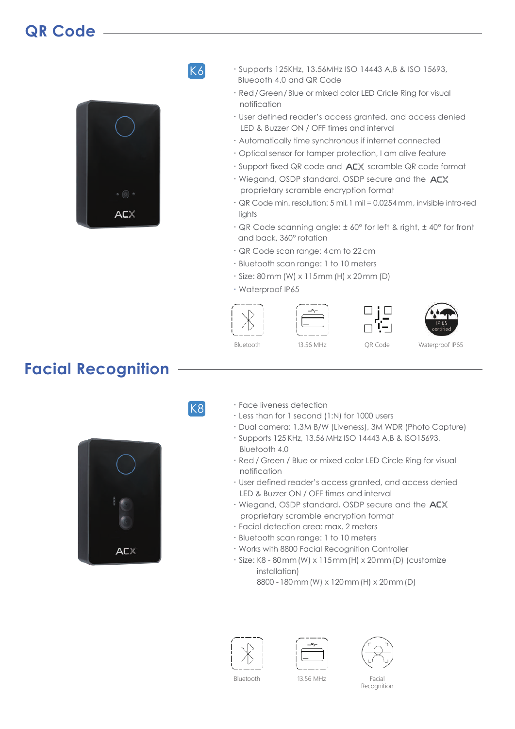## **QR Code**



K6

- ‧Supports 125KHz, 13.56MHz ISO 14443 A,B & ISO 15693, Blueooth 4.0 and QR Code
- ‧Red/Green/Blue or mixed color LED Cricle Ring for visual notification
- ‧User defined reader's access granted, and access denied LED & Buzzer ON / OFF times and interval
- ‧Automatically time synchronous if internet connected
- ‧Optical sensor for tamper protection, I am alive feature
- $\cdot$  Support fixed QR code and  $A\mathsf{C}\mathbb{X}$  scramble QR code format
- Wiegand, OSDP standard, OSDP secure and the ACX proprietary scramble encryption format
- ‧QR Code min. resolution: 5 mil,1 mil = 0.0254 mm, invisible infra-red lights
- ‧QR Code scanning angle: ± 60° for left & right, ± 40° for front and back, 360° rotation
- ‧QR Code scan range: 4cm to 22cm
- ‧Bluetooth scan range: 1 to 10 meters
- ‧Size: 80 mm (W) x 115mm (H) x 20mm (D)
- ‧Waterproof IP65









Bluetooth 13.56 MHz QR Code

Waterproof IP65

## **Facial Recognition**



- ‧Face liveness detection
- ‧Less than for 1 second (1:N) for 1000 users
- ‧Dual camera: 1.3M B/W (Liveness), 3M WDR (Photo Capture)
- ‧Supports 125 KHz, 13.56 MHz ISO 14443 A,B & ISO15693, Bluetooth 4.0
- ‧Red / Green / Blue or mixed color LED Circle Ring for visual notification
- ‧User defined reader's access granted, and access denied LED & Buzzer ON / OFF times and interval
- Wiegand, OSDP standard, OSDP secure and the ACX proprietary scramble encryption format
- ‧Facial detection area: max. 2 meters
- ‧Bluetooth scan range: 1 to 10 meters
- ‧Works with 8800 Facial Recognition Controller
- ‧Size: K8 80mm(W) x 115mm(H) x 20mm(D) (customize installation)

8800 - 180mm(W) x 120mm(H) x 20mm(D)







Bluetooth 13.56 MHz Facial Recognition